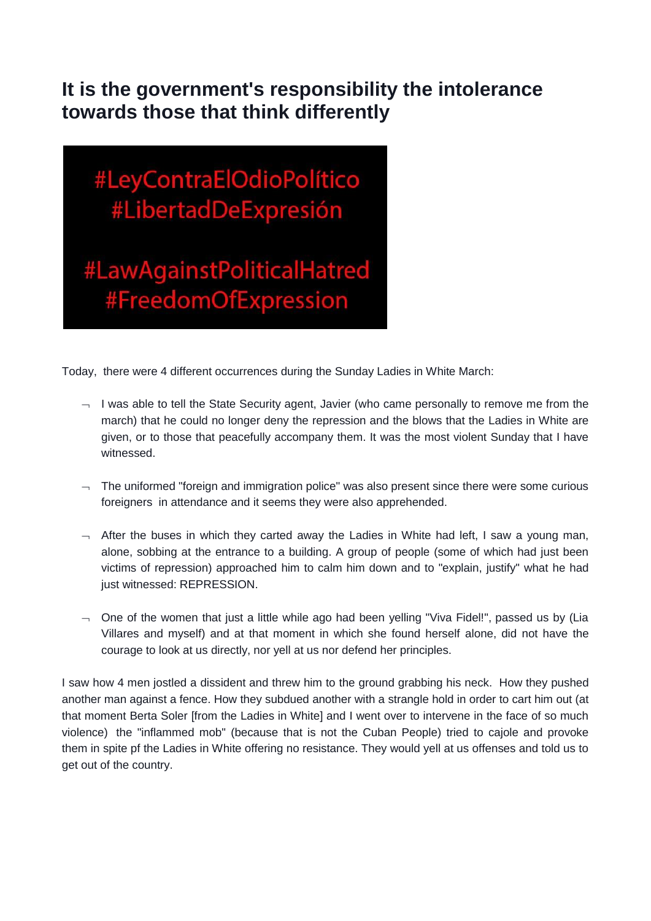## **It is the government's responsibility the intolerance towards those that think differently**

## #LeyContraElOdioPolítico #LibertadDeExpresión

#LawAgainstPoliticalHatred #FreedomOfExpression

Today, there were 4 different occurrences during the Sunday Ladies in White March:

- $\lnot$  I was able to tell the State Security agent, Javier (who came personally to remove me from the march) that he could no longer deny the repression and the blows that the Ladies in White are given, or to those that peacefully accompany them. It was the most violent Sunday that I have witnessed.
- $\lnot$  The uniformed "foreign and immigration police" was also present since there were some curious foreigners in attendance and it seems they were also apprehended.
- $\rightarrow$  After the buses in which they carted away the Ladies in White had left, I saw a young man, alone, sobbing at the entrance to a building. A group of people (some of which had just been victims of repression) approached him to calm him down and to "explain, justify" what he had just witnessed: REPRESSION.
- $\lnot$  One of the women that just a little while ago had been yelling "Viva Fidel!", passed us by (Lia Villares and myself) and at that moment in which she found herself alone, did not have the courage to look at us directly, nor yell at us nor defend her principles.

I saw how 4 men jostled a dissident and threw him to the ground grabbing his neck. How they pushed another man against a fence. How they subdued another with a strangle hold in order to cart him out (at that moment Berta Soler [from the Ladies in White] and I went over to intervene in the face of so much violence) the "inflammed mob" (because that is not the Cuban People) tried to cajole and provoke them in spite pf the Ladies in White offering no resistance. They would yell at us offenses and told us to get out of the country.